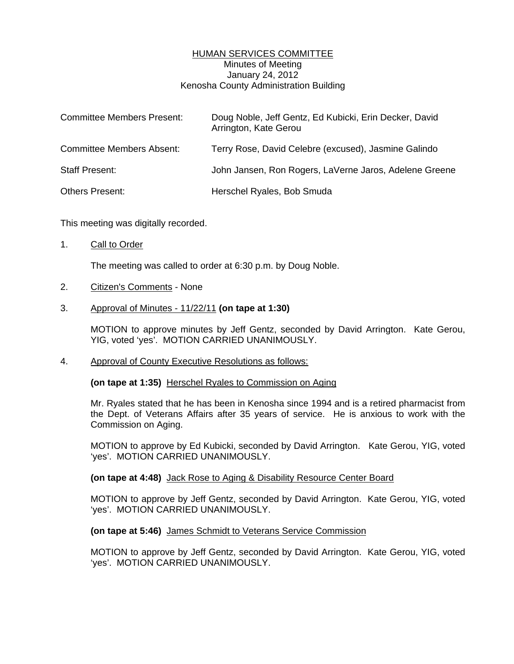# HUMAN SERVICES COMMITTEE Minutes of Meeting January 24, 2012 Kenosha County Administration Building

| <b>Committee Members Present:</b> | Doug Noble, Jeff Gentz, Ed Kubicki, Erin Decker, David<br>Arrington, Kate Gerou |
|-----------------------------------|---------------------------------------------------------------------------------|
| <b>Committee Members Absent:</b>  | Terry Rose, David Celebre (excused), Jasmine Galindo                            |
| <b>Staff Present:</b>             | John Jansen, Ron Rogers, LaVerne Jaros, Adelene Greene                          |
| <b>Others Present:</b>            | Herschel Ryales, Bob Smuda                                                      |

This meeting was digitally recorded.

1. Call to Order

The meeting was called to order at 6:30 p.m. by Doug Noble.

2. Citizen's Comments - None

# 3. Approval of Minutes - 11/22/11 **(on tape at 1:30)**

 MOTION to approve minutes by Jeff Gentz, seconded by David Arrington. Kate Gerou, YIG, voted 'yes'. MOTION CARRIED UNANIMOUSLY.

4. Approval of County Executive Resolutions as follows:

**(on tape at 1:35)** Herschel Ryales to Commission on Aging

 Mr. Ryales stated that he has been in Kenosha since 1994 and is a retired pharmacist from the Dept. of Veterans Affairs after 35 years of service. He is anxious to work with the Commission on Aging.

 MOTION to approve by Ed Kubicki, seconded by David Arrington. Kate Gerou, YIG, voted 'yes'. MOTION CARRIED UNANIMOUSLY.

### **(on tape at 4:48)** Jack Rose to Aging & Disability Resource Center Board

 MOTION to approve by Jeff Gentz, seconded by David Arrington. Kate Gerou, YIG, voted 'yes'. MOTION CARRIED UNANIMOUSLY.

### **(on tape at 5:46)** James Schmidt to Veterans Service Commission

 MOTION to approve by Jeff Gentz, seconded by David Arrington. Kate Gerou, YIG, voted 'yes'. MOTION CARRIED UNANIMOUSLY.